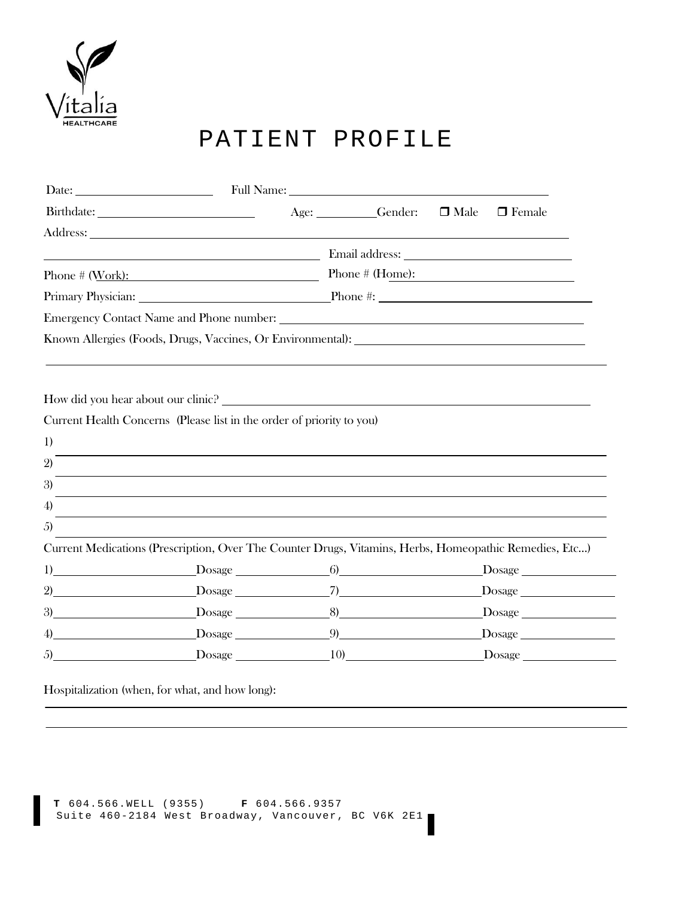

# PATIENT PROFILE

|                                              | Date: Full Name: Full Name:                                                                            |              |             |               |
|----------------------------------------------|--------------------------------------------------------------------------------------------------------|--------------|-------------|---------------|
|                                              |                                                                                                        | Age: Gender: | $\Box$ Male | $\Box$ Female |
|                                              |                                                                                                        |              |             |               |
|                                              |                                                                                                        |              |             |               |
|                                              | Phone # $(Work):$ Phone # $(Home):$                                                                    |              |             |               |
|                                              |                                                                                                        |              |             |               |
|                                              |                                                                                                        |              |             |               |
|                                              |                                                                                                        |              |             |               |
|                                              |                                                                                                        |              |             |               |
| 1)<br>$\mathfrak{D}$<br>3)<br>$\overline{4}$ |                                                                                                        |              |             |               |
| 5)                                           |                                                                                                        |              |             |               |
|                                              | Current Medications (Prescription, Over The Counter Drugs, Vitamins, Herbs, Homeopathic Remedies, Etc) |              |             |               |
|                                              |                                                                                                        |              |             |               |
|                                              |                                                                                                        |              |             |               |
|                                              |                                                                                                        |              |             |               |
|                                              | $\sqrt{4}$ Dosage $\sqrt{9}$ Dosage $\sqrt{9}$ Dosage $\sqrt{2}$                                       |              |             |               |
| 5)                                           |                                                                                                        |              |             |               |

Hospitalization (when, for what, and how long):

```
T 604.566.WELL (9355) F 604.566.9357
Suite 460-2184 West Broadway, Vancouver, BC V6K 2E1
```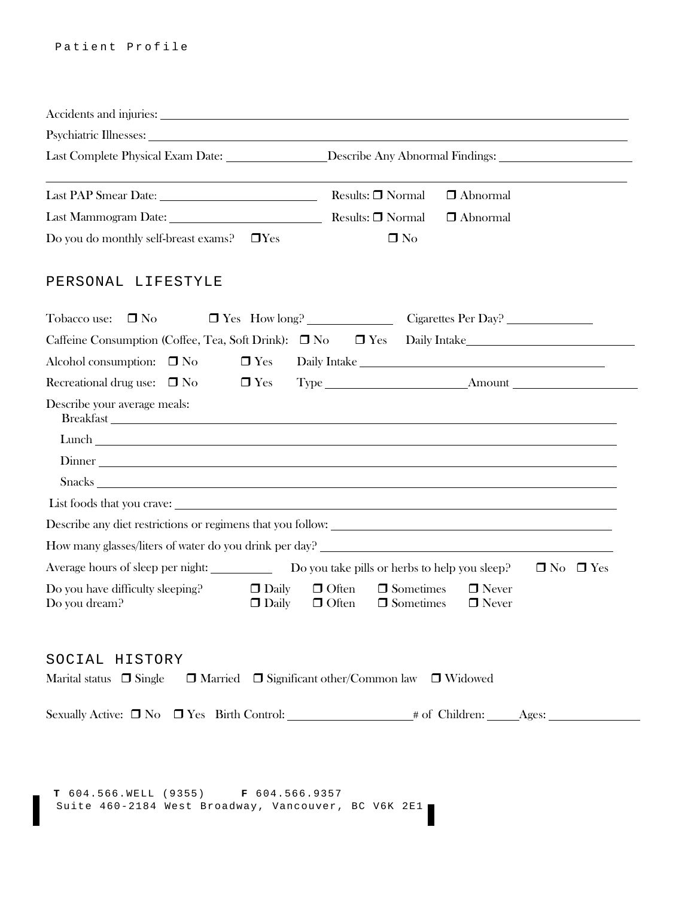|                                                   | Last Complete Physical Exam Date: Describe Any Abnormal Findings: 1996                                                               |
|---------------------------------------------------|--------------------------------------------------------------------------------------------------------------------------------------|
| Last PAP Smear Date: Material Results: Normal     | $\Box$ Abnormal                                                                                                                      |
|                                                   | $\Box$ Abnormal                                                                                                                      |
| Do you do monthly self-breast exams? □Yes         | $\Box$ No                                                                                                                            |
| PERSONAL LIFESTYLE                                |                                                                                                                                      |
| Tobacco use:<br>$\Box$ No                         | □ Yes How long? Cigarettes Per Day?                                                                                                  |
|                                                   | Caffeine Consumption (Coffee, Tea, Soft Drink): □ No □ Yes Daily Intake____________________________                                  |
| $\Box$ Yes<br>Alcohol consumption: $\Box$ No      | Daily Intake                                                                                                                         |
| Recreational drug use: $\Box$ No<br>$\Box$ Yes    |                                                                                                                                      |
| Describe your average meals:                      |                                                                                                                                      |
|                                                   |                                                                                                                                      |
|                                                   |                                                                                                                                      |
|                                                   |                                                                                                                                      |
|                                                   |                                                                                                                                      |
|                                                   |                                                                                                                                      |
|                                                   | How many glasses/liters of water do you drink per day?                                                                               |
|                                                   | Average hours of sleep per night: Do you take pills or herbs to help you sleep?<br>$\Box$ No $\Box$ Yes                              |
| Do you have difficulty sleeping?<br>Do you dream? | $\Box$ Daily<br>$\Box$ Sometimes<br>$\Box$ Often<br>$\Box$ Never<br>$\Box$ Daily<br>$\Box$ Often<br>$\Box$ Sometimes<br>$\Box$ Never |
| SOCIAL HISTORY                                    |                                                                                                                                      |
| Marital status $\Box$ Single                      | $\Box$ Married $\Box$ Significant other/Common law $\Box$ Widowed                                                                    |
|                                                   |                                                                                                                                      |
|                                                   |                                                                                                                                      |

**T** 604.566.WELL (9355) **F** 604.566.9357 Suite 460-2184 West Broadway, Vancouver, BC V6K 2E1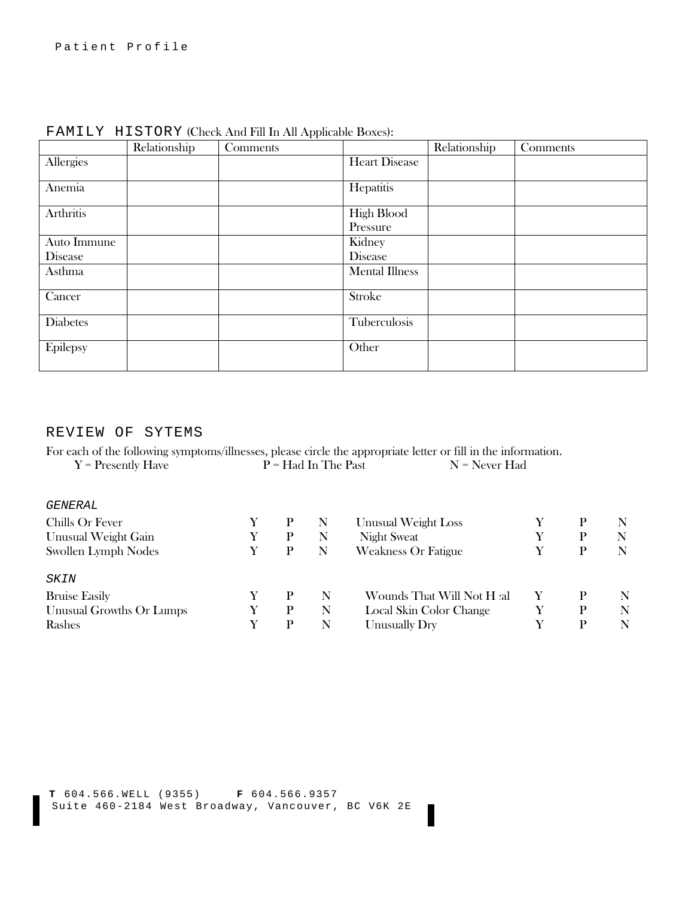|                  | Relationship | Comments |                       | Relationship | Comments |
|------------------|--------------|----------|-----------------------|--------------|----------|
| Allergies        |              |          | <b>Heart Disease</b>  |              |          |
| Anemia           |              |          | Hepatitis             |              |          |
| <b>Arthritis</b> |              |          | High Blood            |              |          |
|                  |              |          | Pressure              |              |          |
| Auto Immune      |              |          | Kidney                |              |          |
| <b>Disease</b>   |              |          | Disease               |              |          |
| Asthma           |              |          | <b>Mental Illness</b> |              |          |
| Cancer           |              |          | Stroke                |              |          |
| <b>Diabetes</b>  |              |          | Tuberculosis          |              |          |
| Epilepsy         |              |          | Other                 |              |          |

FAMILY HISTORY (Check And Fill In All Applicable Boxes):

# REVIEW OF SYTEMS

For each of the following symptoms/illnesses, please circle the appropriate letter or fill in the information.<br>  $Y =$  Presently Have  $P =$  Had In The Past  $N =$  Never Had  $\overrightarrow{P}$  = Had In The Past

| <i>GENERAL</i>             |   |   |   |                            |   |   |
|----------------------------|---|---|---|----------------------------|---|---|
| Chills Or Fever            |   |   | N | Unusual Weight Loss        | P | N |
| Unusual Weight Gain        | Y | P | N | <b>Night Sweat</b>         | P | N |
| <b>Swollen Lymph Nodes</b> |   | р | N | <b>Weakness Or Fatigue</b> | P | N |
| <i>SKIN</i>                |   |   |   |                            |   |   |
| <b>Bruise Easily</b>       |   | P | N | Wounds That Will Not Heal  | P | N |
| Unusual Growths Or Lumps   |   | P | N | Local Skin Color Change    | P | N |
| Rashes                     |   |   | N | Unusually Dry              | P | N |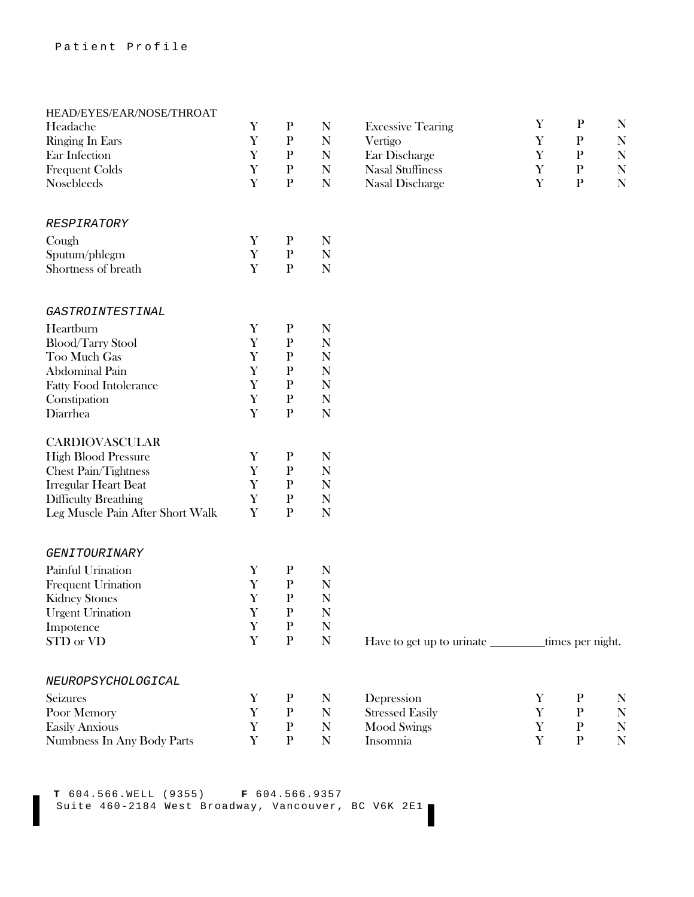# HEAD/EYES/EAR/NOSE/THROAT

| <b>Headache</b>                  | x           | r            | IN          | <b>EXCESSIVE Learing</b> | $\mathbf{r}$ | $\mathbf{r}$ | ΤA |
|----------------------------------|-------------|--------------|-------------|--------------------------|--------------|--------------|----|
| <b>Ringing In Ears</b>           | Y           | $\mathbf{P}$ | $\mathbf N$ | Vertigo                  | Y            | $\mathbf P$  | N  |
| Ear Infection                    | Y           | $\mathbf P$  | N           | Ear Discharge            | Y            | $\mathbf P$  | N  |
| <b>Frequent Colds</b>            | Y           | ${\bf P}$    | N           | <b>Nasal Stuffiness</b>  | Y            | $\mathbf{P}$ | N  |
| Nosebleeds                       | $\mathbf Y$ | $\mathbf{P}$ | N           | Nasal Discharge          | Y            | $\mathbf P$  | N  |
| <b>RESPIRATORY</b>               |             |              |             |                          |              |              |    |
| Cough                            | Y           | $\mathbf{P}$ | N           |                          |              |              |    |
| Sputum/phlegm                    | Y           | ${\bf P}$    | N           |                          |              |              |    |
| Shortness of breath              | Y           | $\mathbf{P}$ | N           |                          |              |              |    |
| GASTROINTESTINAL                 |             |              |             |                          |              |              |    |
| Heartburn                        | Y           | ${\bf P}$    | N           |                          |              |              |    |
| <b>Blood/Tarry Stool</b>         | Y           | $\mathbf P$  | N           |                          |              |              |    |
| Too Much Gas                     | Y           | $\mathbf{P}$ | N           |                          |              |              |    |
| Abdominal Pain                   | Y           | $\mathbf{P}$ | N           |                          |              |              |    |
| <b>Fatty Food Intolerance</b>    | Y           | $\mathbf{P}$ | $\mathbf N$ |                          |              |              |    |
| Constipation                     | Y           | $\mathbf{P}$ | N           |                          |              |              |    |
| Diarrhea                         | $\mathbf Y$ | $\mathbf{P}$ | $\mathbf N$ |                          |              |              |    |
| <b>CARDIOVASCULAR</b>            |             |              |             |                          |              |              |    |
| <b>High Blood Pressure</b>       | Y           | ${\bf P}$    | N           |                          |              |              |    |
| Chest Pain/Tightness             | Y           | ${\bf P}$    | $\mathbf N$ |                          |              |              |    |
| <b>Irregular Heart Beat</b>      | Y           | $\mathbf{P}$ | N           |                          |              |              |    |
| <b>Difficulty Breathing</b>      | $\mathbf Y$ | ${\bf P}$    | N           |                          |              |              |    |
| Leg Muscle Pain After Short Walk | Y           | $\mathbf{P}$ | N           |                          |              |              |    |
|                                  |             |              |             |                          |              |              |    |

#### *GENITOURINARY*

| Painful Urination         |  |  |
|---------------------------|--|--|
| <b>Frequent Urination</b> |  |  |
| <b>Kidney Stones</b>      |  |  |
| <b>Urgent Urination</b>   |  |  |
| Impotence                 |  |  |
| STD or VD                 |  |  |

## *NEUROPSYCHOLOGICAL*

| Seizures                   |  | Depression             |  |  |
|----------------------------|--|------------------------|--|--|
| Poor Memory                |  | <b>Stressed Easily</b> |  |  |
| <b>Easily Anxious</b>      |  | Mood Swings            |  |  |
| Numbness In Any Body Parts |  | Insomnia               |  |  |

| Headache        |  | <b>Excessive Tearing</b> |  |  |
|-----------------|--|--------------------------|--|--|
| Ringing In Ears |  | Vertigo                  |  |  |
| Ear Infection   |  | Ear Discharge            |  |  |
| Frequent Colds  |  | Nasal Stuffiness         |  |  |
| Nosebleeds      |  | Nasal Discharge          |  |  |

Have to get up to urinate \_\_\_\_\_\_\_\_\_\_ times per night.